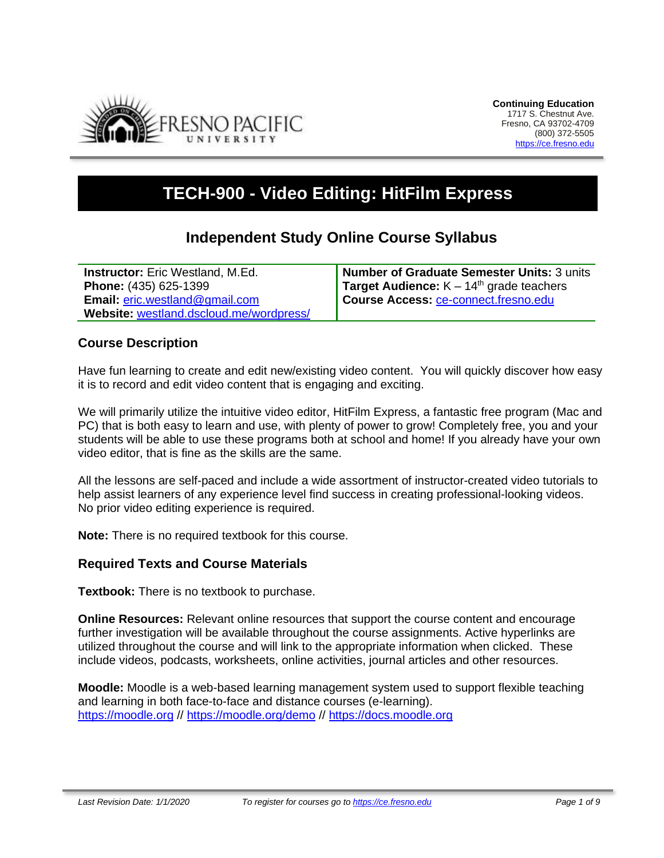

# **TECH-900 - Video Editing: HitFilm Express**

## **Independent Study Online Course Syllabus**

**Instructor:** Eric Westland, M.Ed. **Phone:** (435) 625-1399 **Email:** [eric.westland@gmail.com](mailto:eric.westland@gmail.com) **Website:** [westland.dscloud.me/wordpress/](https://westland.dscloud.me/wordpress/) **Number of Graduate Semester Units:** 3 units **Target Audience:**  $K - 14<sup>th</sup>$  grade teachers **Course Access:** [ce-connect.fresno.edu](https://ce-connect.fresno.edu/)

## **Course Description**

Have fun learning to create and edit new/existing video content. You will quickly discover how easy it is to record and edit video content that is engaging and exciting.

We will primarily utilize the intuitive video editor, HitFilm Express, a fantastic free program (Mac and PC) that is both easy to learn and use, with plenty of power to grow! Completely free, you and your students will be able to use these programs both at school and home! If you already have your own video editor, that is fine as the skills are the same.

All the lessons are self-paced and include a wide assortment of instructor-created video tutorials to help assist learners of any experience level find success in creating professional-looking videos. No prior video editing experience is required.

**Note:** There is no required textbook for this course.

#### **Required Texts and Course Materials**

**Textbook:** There is no textbook to purchase.

**Online Resources:** Relevant online resources that support the course content and encourage further investigation will be available throughout the course assignments. Active hyperlinks are utilized throughout the course and will link to the appropriate information when clicked. These include videos, podcasts, worksheets, online activities, journal articles and other resources.

**Moodle:** Moodle is a web-based learning management system used to support flexible teaching and learning in both face-to-face and distance courses (e-learning). [https://moodle.org](https://moodle.org/) // <https://moodle.org/demo> // [https://docs.moodle.org](https://docs.moodle.org/)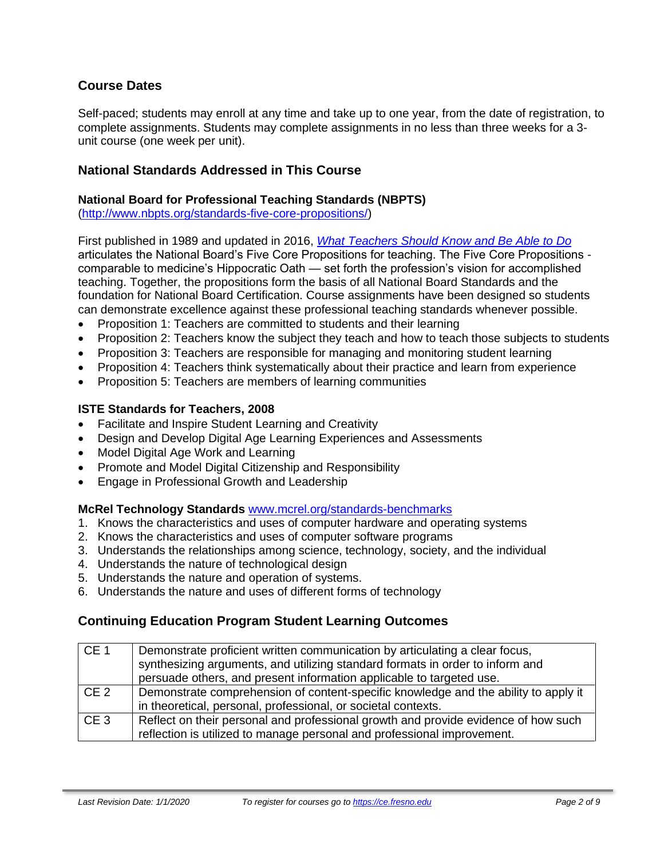## **Course Dates**

Self-paced; students may enroll at any time and take up to one year, from the date of registration, to complete assignments. Students may complete assignments in no less than three weeks for a 3 unit course (one week per unit).

#### **National Standards Addressed in This Course**

#### **National Board for Professional Teaching Standards (NBPTS)**

[\(http://www.nbpts.org/standards-five-core-propositions/\)](http://www.nbpts.org/standards-five-core-propositions/)

First published in 1989 and updated in 2016, *[What Teachers Should Know and Be Able to Do](http://www.accomplishedteacher.org/)* articulates the National Board's Five Core Propositions for teaching. The Five Core Propositions comparable to medicine's Hippocratic Oath — set forth the profession's vision for accomplished teaching. Together, the propositions form the basis of all National Board Standards and the foundation for National Board Certification. Course assignments have been designed so students can demonstrate excellence against these professional teaching standards whenever possible.

- Proposition 1: Teachers are committed to students and their learning
- Proposition 2: Teachers know the subject they teach and how to teach those subjects to students
- Proposition 3: Teachers are responsible for managing and monitoring student learning
- Proposition 4: Teachers think systematically about their practice and learn from experience
- Proposition 5: Teachers are members of learning communities

#### **ISTE Standards for Teachers, 2008**

- Facilitate and Inspire Student Learning and Creativity
- Design and Develop Digital Age Learning Experiences and Assessments
- Model Digital Age Work and Learning
- Promote and Model Digital Citizenship and Responsibility
- Engage in Professional Growth and Leadership

#### **McRel Technology Standards** [www.mcrel.org/standards-benchmarks](http://www.mcrel.org/standards-benchmarks)

- 1. Knows the characteristics and uses of computer hardware and operating systems
- 2. Knows the characteristics and uses of computer software programs
- 3. Understands the relationships among science, technology, society, and the individual
- 4. Understands the nature of technological design
- 5. Understands the nature and operation of systems.
- 6. Understands the nature and uses of different forms of technology

## **Continuing Education Program Student Learning Outcomes**

| CE <sub>1</sub> | Demonstrate proficient written communication by articulating a clear focus,         |  |  |
|-----------------|-------------------------------------------------------------------------------------|--|--|
|                 | synthesizing arguments, and utilizing standard formats in order to inform and       |  |  |
|                 | persuade others, and present information applicable to targeted use.                |  |  |
| CE <sub>2</sub> | Demonstrate comprehension of content-specific knowledge and the ability to apply it |  |  |
|                 | in theoretical, personal, professional, or societal contexts.                       |  |  |
| CE <sub>3</sub> | Reflect on their personal and professional growth and provide evidence of how such  |  |  |
|                 | reflection is utilized to manage personal and professional improvement.             |  |  |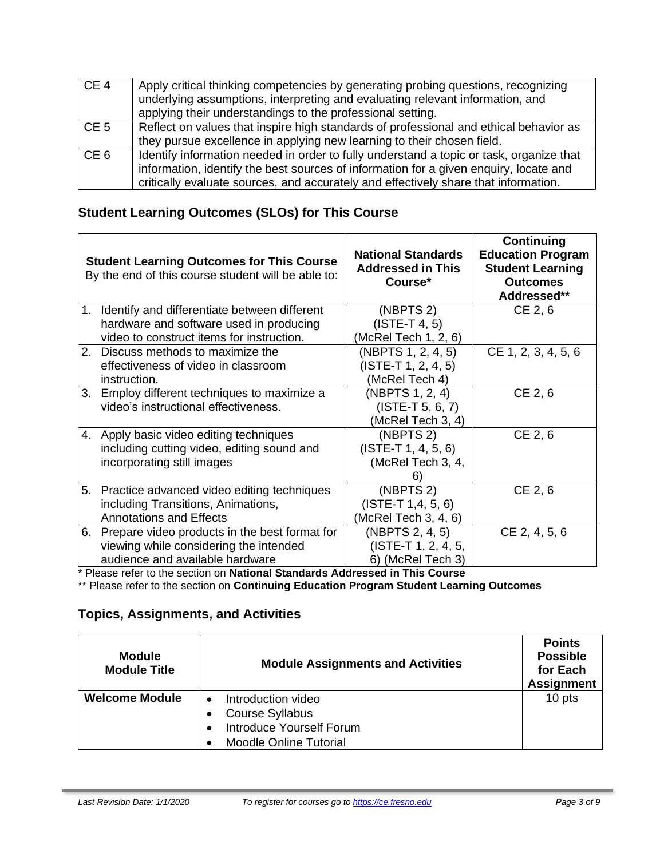| CE <sub>4</sub> | Apply critical thinking competencies by generating probing questions, recognizing<br>underlying assumptions, interpreting and evaluating relevant information, and<br>applying their understandings to the professional setting.                                        |
|-----------------|-------------------------------------------------------------------------------------------------------------------------------------------------------------------------------------------------------------------------------------------------------------------------|
| CE <sub>5</sub> | Reflect on values that inspire high standards of professional and ethical behavior as<br>they pursue excellence in applying new learning to their chosen field.                                                                                                         |
| CE <sub>6</sub> | Identify information needed in order to fully understand a topic or task, organize that<br>information, identify the best sources of information for a given enquiry, locate and<br>critically evaluate sources, and accurately and effectively share that information. |

## **Student Learning Outcomes (SLOs) for This Course**

|    | <b>Student Learning Outcomes for This Course</b><br>By the end of this course student will be able to:                               | <b>National Standards</b><br><b>Addressed in This</b><br>Course*          | Continuing<br><b>Education Program</b><br><b>Student Learning</b><br><b>Outcomes</b><br>Addressed** |
|----|--------------------------------------------------------------------------------------------------------------------------------------|---------------------------------------------------------------------------|-----------------------------------------------------------------------------------------------------|
| 1. | Identify and differentiate between different<br>hardware and software used in producing<br>video to construct items for instruction. | (NBPTS 2)<br>$(ISTE-T 4, 5)$<br>(McRel Tech 1, 2, 6)                      | CE 2, 6                                                                                             |
|    | 2. Discuss methods to maximize the<br>effectiveness of video in classroom<br>instruction.                                            | (NBPTS 1, 2, 4, 5)<br>$(ISTE-T 1, 2, 4, 5)$<br>(McRel Tech 4)             | CE 1, 2, 3, 4, 5, 6                                                                                 |
| 3. | Employ different techniques to maximize a<br>video's instructional effectiveness.                                                    | (NBPTS 1, 2, 4)<br>$(ISTE-T 5, 6, 7)$<br>(McRel Tech 3, 4)                | CE 2, 6                                                                                             |
| 4. | Apply basic video editing techniques<br>including cutting video, editing sound and<br>incorporating still images                     | (NBPTS <sub>2</sub> )<br>$(ISTE-T 1, 4, 5, 6)$<br>(McRel Tech 3, 4,<br>6) | CE 2, 6                                                                                             |
|    | 5. Practice advanced video editing techniques<br>including Transitions, Animations,<br><b>Annotations and Effects</b>                | (NBPTS 2)<br>$(ISTE-T 1, 4, 5, 6)$<br>(McRel Tech 3, 4, 6)                | CE 2, 6                                                                                             |
| 6. | Prepare video products in the best format for<br>viewing while considering the intended<br>audience and available hardware           | (NBPTS 2, 4, 5)<br>(ISTE-T 1, 2, 4, 5,<br>6) (McRel Tech 3)               | CE 2, 4, 5, 6                                                                                       |

\* Please refer to the section on **National Standards Addressed in This Course**

\*\* Please refer to the section on **Continuing Education Program Student Learning Outcomes**

## **Topics, Assignments, and Activities**

| <b>Module</b><br><b>Module Title</b> | <b>Module Assignments and Activities</b>                                 | <b>Points</b><br><b>Possible</b><br>for Each<br><b>Assignment</b> |
|--------------------------------------|--------------------------------------------------------------------------|-------------------------------------------------------------------|
| <b>Welcome Module</b>                | Introduction video<br><b>Course Syllabus</b><br>Introduce Yourself Forum | 10 pts                                                            |
|                                      | <b>Moodle Online Tutorial</b>                                            |                                                                   |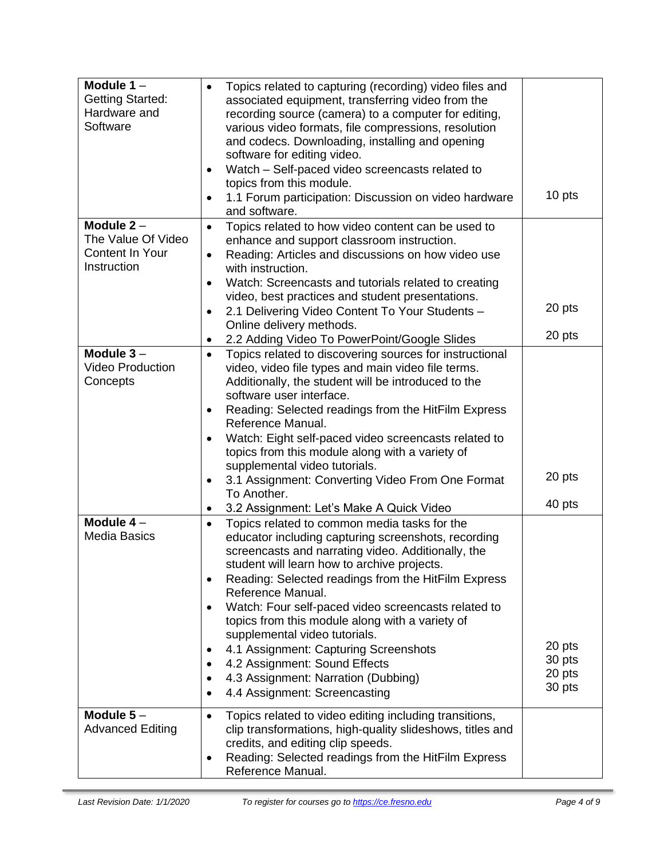| Module $1 -$             | Topics related to capturing (recording) video files and<br>$\bullet$                                                  |                  |
|--------------------------|-----------------------------------------------------------------------------------------------------------------------|------------------|
| <b>Getting Started:</b>  | associated equipment, transferring video from the                                                                     |                  |
| Hardware and<br>Software | recording source (camera) to a computer for editing,                                                                  |                  |
|                          | various video formats, file compressions, resolution<br>and codecs. Downloading, installing and opening               |                  |
|                          | software for editing video.                                                                                           |                  |
|                          | Watch - Self-paced video screencasts related to<br>$\bullet$                                                          |                  |
|                          | topics from this module.                                                                                              |                  |
|                          | 1.1 Forum participation: Discussion on video hardware<br>$\bullet$                                                    | 10 pts           |
|                          | and software.                                                                                                         |                  |
| Module $2 -$             | Topics related to how video content can be used to<br>$\bullet$                                                       |                  |
| The Value Of Video       | enhance and support classroom instruction.                                                                            |                  |
| <b>Content In Your</b>   | Reading: Articles and discussions on how video use<br>$\bullet$                                                       |                  |
| Instruction              | with instruction.                                                                                                     |                  |
|                          | Watch: Screencasts and tutorials related to creating<br>$\bullet$<br>video, best practices and student presentations. |                  |
|                          | 2.1 Delivering Video Content To Your Students -<br>$\bullet$                                                          | 20 pts           |
|                          | Online delivery methods.                                                                                              |                  |
|                          | 2.2 Adding Video To PowerPoint/Google Slides<br>٠                                                                     | 20 pts           |
| Module $3-$              | Topics related to discovering sources for instructional<br>$\bullet$                                                  |                  |
| <b>Video Production</b>  | video, video file types and main video file terms.                                                                    |                  |
| Concepts                 | Additionally, the student will be introduced to the                                                                   |                  |
|                          | software user interface.                                                                                              |                  |
|                          | Reading: Selected readings from the HitFilm Express<br>٠                                                              |                  |
|                          | Reference Manual.                                                                                                     |                  |
|                          | Watch: Eight self-paced video screencasts related to<br>topics from this module along with a variety of               |                  |
|                          | supplemental video tutorials.                                                                                         |                  |
|                          | 3.1 Assignment: Converting Video From One Format<br>٠                                                                 | 20 pts           |
|                          | To Another.                                                                                                           |                  |
|                          | 3.2 Assignment: Let's Make A Quick Video<br>٠                                                                         | 40 pts           |
| Module 4-                | Topics related to common media tasks for the<br>$\bullet$                                                             |                  |
| <b>Media Basics</b>      | educator including capturing screenshots, recording                                                                   |                  |
|                          | screencasts and narrating video. Additionally, the                                                                    |                  |
|                          | student will learn how to archive projects.                                                                           |                  |
|                          | Reading: Selected readings from the HitFilm Express<br>$\bullet$<br>Reference Manual.                                 |                  |
|                          | Watch: Four self-paced video screencasts related to                                                                   |                  |
|                          | topics from this module along with a variety of                                                                       |                  |
|                          | supplemental video tutorials.                                                                                         |                  |
|                          | 4.1 Assignment: Capturing Screenshots                                                                                 | 20 pts           |
|                          | 4.2 Assignment: Sound Effects                                                                                         | 30 pts           |
|                          | 4.3 Assignment: Narration (Dubbing)                                                                                   | 20 pts<br>30 pts |
|                          | 4.4 Assignment: Screencasting                                                                                         |                  |
| Module $5-$              | Topics related to video editing including transitions,<br>$\bullet$                                                   |                  |
| <b>Advanced Editing</b>  | clip transformations, high-quality slideshows, titles and                                                             |                  |
|                          | credits, and editing clip speeds.                                                                                     |                  |
|                          | Reading: Selected readings from the HitFilm Express<br>٠                                                              |                  |
|                          | Reference Manual.                                                                                                     |                  |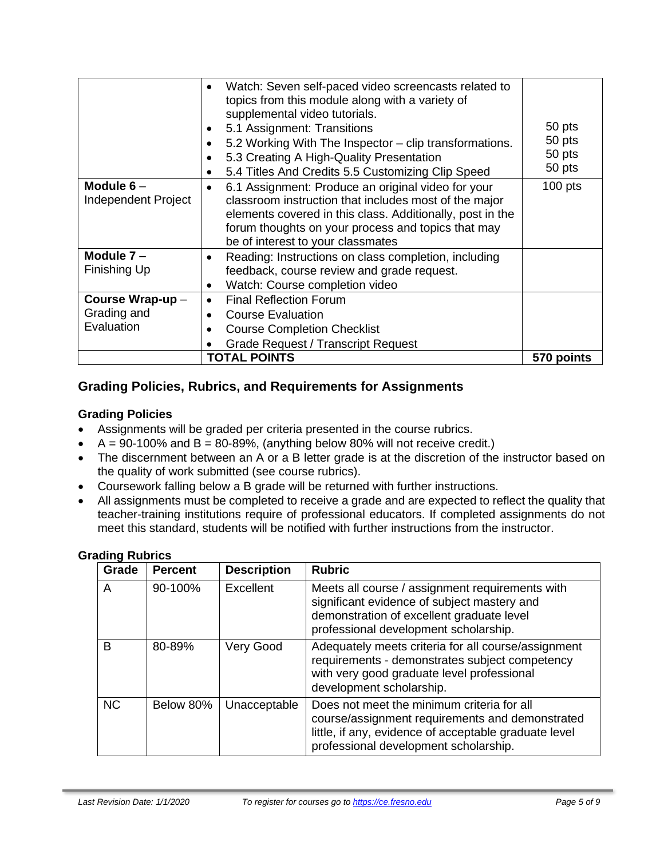|                                              | Watch: Seven self-paced video screencasts related to<br>$\bullet$<br>topics from this module along with a variety of<br>supplemental video tutorials.<br>5.1 Assignment: Transitions<br>5.2 Working With The Inspector - clip transformations.<br>5.3 Creating A High-Quality Presentation<br>5.4 Titles And Credits 5.5 Customizing Clip Speed<br>$\bullet$ | 50 pts<br>50 pts<br>50 pts<br>50 pts |
|----------------------------------------------|--------------------------------------------------------------------------------------------------------------------------------------------------------------------------------------------------------------------------------------------------------------------------------------------------------------------------------------------------------------|--------------------------------------|
| Module $6-$<br>Independent Project           | 6.1 Assignment: Produce an original video for your<br>$\bullet$<br>classroom instruction that includes most of the major<br>elements covered in this class. Additionally, post in the<br>forum thoughts on your process and topics that may<br>be of interest to your classmates                                                                             | $100$ pts                            |
| Module $7 -$<br>Finishing Up                 | Reading: Instructions on class completion, including<br>٠<br>feedback, course review and grade request.<br>Watch: Course completion video<br>$\bullet$                                                                                                                                                                                                       |                                      |
| Course Wrap-up-<br>Grading and<br>Evaluation | <b>Final Reflection Forum</b><br>$\bullet$<br><b>Course Evaluation</b><br><b>Course Completion Checklist</b><br><b>Grade Request / Transcript Request</b>                                                                                                                                                                                                    |                                      |
|                                              | <b>TOTAL POINTS</b>                                                                                                                                                                                                                                                                                                                                          | 570 points                           |

## **Grading Policies, Rubrics, and Requirements for Assignments**

#### **Grading Policies**

- Assignments will be graded per criteria presented in the course rubrics.
- $A = 90-100\%$  and  $B = 80-89\%$ , (anything below 80% will not receive credit.)
- The discernment between an A or a B letter grade is at the discretion of the instructor based on the quality of work submitted (see course rubrics).
- Coursework falling below a B grade will be returned with further instructions.
- All assignments must be completed to receive a grade and are expected to reflect the quality that teacher-training institutions require of professional educators. If completed assignments do not meet this standard, students will be notified with further instructions from the instructor.

#### **Grading Rubrics**

| Grade     | <b>Percent</b> | <b>Description</b> | <b>Rubric</b>                                                                                                                                                                                   |
|-----------|----------------|--------------------|-------------------------------------------------------------------------------------------------------------------------------------------------------------------------------------------------|
| A         | 90-100%        | Excellent          | Meets all course / assignment requirements with<br>significant evidence of subject mastery and<br>demonstration of excellent graduate level<br>professional development scholarship.            |
| B         | 80-89%         | Very Good          | Adequately meets criteria for all course/assignment<br>requirements - demonstrates subject competency<br>with very good graduate level professional<br>development scholarship.                 |
| <b>NC</b> | Below 80%      | Unacceptable       | Does not meet the minimum criteria for all<br>course/assignment requirements and demonstrated<br>little, if any, evidence of acceptable graduate level<br>professional development scholarship. |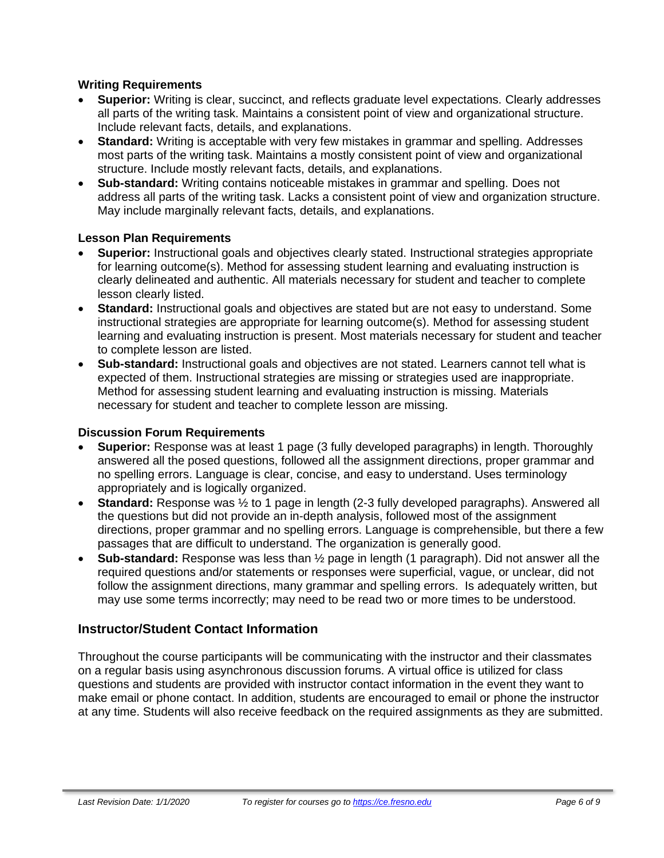#### **Writing Requirements**

- **Superior:** Writing is clear, succinct, and reflects graduate level expectations. Clearly addresses all parts of the writing task. Maintains a consistent point of view and organizational structure. Include relevant facts, details, and explanations.
- **Standard:** Writing is acceptable with very few mistakes in grammar and spelling. Addresses most parts of the writing task. Maintains a mostly consistent point of view and organizational structure. Include mostly relevant facts, details, and explanations.
- **Sub-standard:** Writing contains noticeable mistakes in grammar and spelling. Does not address all parts of the writing task. Lacks a consistent point of view and organization structure. May include marginally relevant facts, details, and explanations.

#### **Lesson Plan Requirements**

- **Superior:** Instructional goals and objectives clearly stated. Instructional strategies appropriate for learning outcome(s). Method for assessing student learning and evaluating instruction is clearly delineated and authentic. All materials necessary for student and teacher to complete lesson clearly listed.
- **Standard:** Instructional goals and objectives are stated but are not easy to understand. Some instructional strategies are appropriate for learning outcome(s). Method for assessing student learning and evaluating instruction is present. Most materials necessary for student and teacher to complete lesson are listed.
- **Sub-standard:** Instructional goals and objectives are not stated. Learners cannot tell what is expected of them. Instructional strategies are missing or strategies used are inappropriate. Method for assessing student learning and evaluating instruction is missing. Materials necessary for student and teacher to complete lesson are missing.

#### **Discussion Forum Requirements**

- **Superior:** Response was at least 1 page (3 fully developed paragraphs) in length. Thoroughly answered all the posed questions, followed all the assignment directions, proper grammar and no spelling errors. Language is clear, concise, and easy to understand. Uses terminology appropriately and is logically organized.
- **Standard:** Response was ½ to 1 page in length (2-3 fully developed paragraphs). Answered all the questions but did not provide an in-depth analysis, followed most of the assignment directions, proper grammar and no spelling errors. Language is comprehensible, but there a few passages that are difficult to understand. The organization is generally good.
- **Sub-standard:** Response was less than ½ page in length (1 paragraph). Did not answer all the required questions and/or statements or responses were superficial, vague, or unclear, did not follow the assignment directions, many grammar and spelling errors. Is adequately written, but may use some terms incorrectly; may need to be read two or more times to be understood.

## **Instructor/Student Contact Information**

Throughout the course participants will be communicating with the instructor and their classmates on a regular basis using asynchronous discussion forums. A virtual office is utilized for class questions and students are provided with instructor contact information in the event they want to make email or phone contact. In addition, students are encouraged to email or phone the instructor at any time. Students will also receive feedback on the required assignments as they are submitted.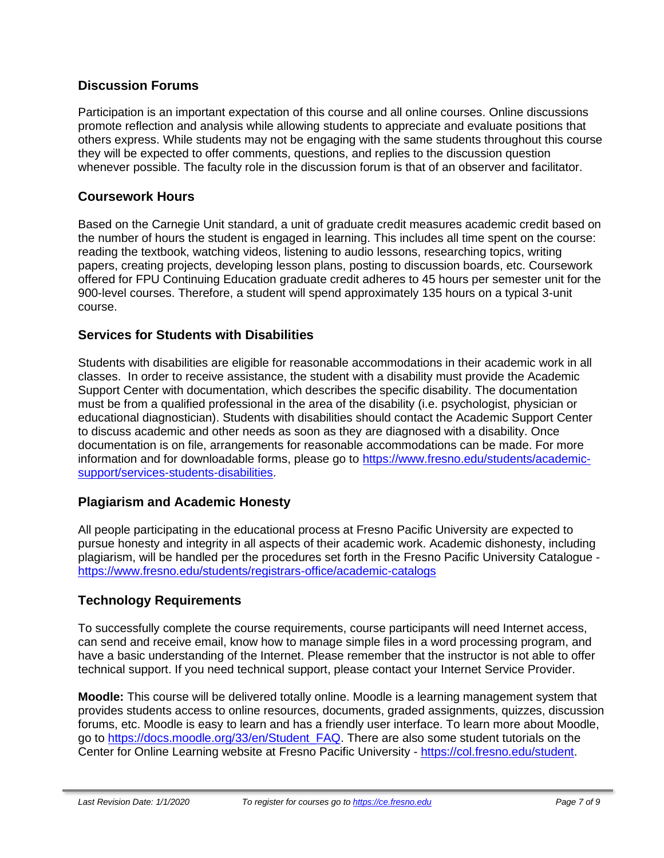## **Discussion Forums**

Participation is an important expectation of this course and all online courses. Online discussions promote reflection and analysis while allowing students to appreciate and evaluate positions that others express. While students may not be engaging with the same students throughout this course they will be expected to offer comments, questions, and replies to the discussion question whenever possible. The faculty role in the discussion forum is that of an observer and facilitator.

## **Coursework Hours**

Based on the Carnegie Unit standard, a unit of graduate credit measures academic credit based on the number of hours the student is engaged in learning. This includes all time spent on the course: reading the textbook, watching videos, listening to audio lessons, researching topics, writing papers, creating projects, developing lesson plans, posting to discussion boards, etc. Coursework offered for FPU Continuing Education graduate credit adheres to 45 hours per semester unit for the 900-level courses. Therefore, a student will spend approximately 135 hours on a typical 3-unit course.

## **Services for Students with Disabilities**

Students with disabilities are eligible for reasonable accommodations in their academic work in all classes. In order to receive assistance, the student with a disability must provide the Academic Support Center with documentation, which describes the specific disability. The documentation must be from a qualified professional in the area of the disability (i.e. psychologist, physician or educational diagnostician). Students with disabilities should contact the Academic Support Center to discuss academic and other needs as soon as they are diagnosed with a disability. Once documentation is on file, arrangements for reasonable accommodations can be made. For more information and for downloadable forms, please go to [https://www.fresno.edu/students/academic](https://www.fresno.edu/students/academic-support/services-students-disabilities)[support/services-students-disabilities.](https://www.fresno.edu/students/academic-support/services-students-disabilities)

## **Plagiarism and Academic Honesty**

All people participating in the educational process at Fresno Pacific University are expected to pursue honesty and integrity in all aspects of their academic work. Academic dishonesty, including plagiarism, will be handled per the procedures set forth in the Fresno Pacific University Catalogue <https://www.fresno.edu/students/registrars-office/academic-catalogs>

## **Technology Requirements**

To successfully complete the course requirements, course participants will need Internet access, can send and receive email, know how to manage simple files in a word processing program, and have a basic understanding of the Internet. Please remember that the instructor is not able to offer technical support. If you need technical support, please contact your Internet Service Provider.

**Moodle:** This course will be delivered totally online. Moodle is a learning management system that provides students access to online resources, documents, graded assignments, quizzes, discussion forums, etc. Moodle is easy to learn and has a friendly user interface. To learn more about Moodle, go to [https://docs.moodle.org/33/en/Student\\_FAQ.](https://docs.moodle.org/33/en/Student_FAQ) There are also some student tutorials on the Center for Online Learning website at Fresno Pacific University - [https://col.fresno.edu/student.](https://col.fresno.edu/student)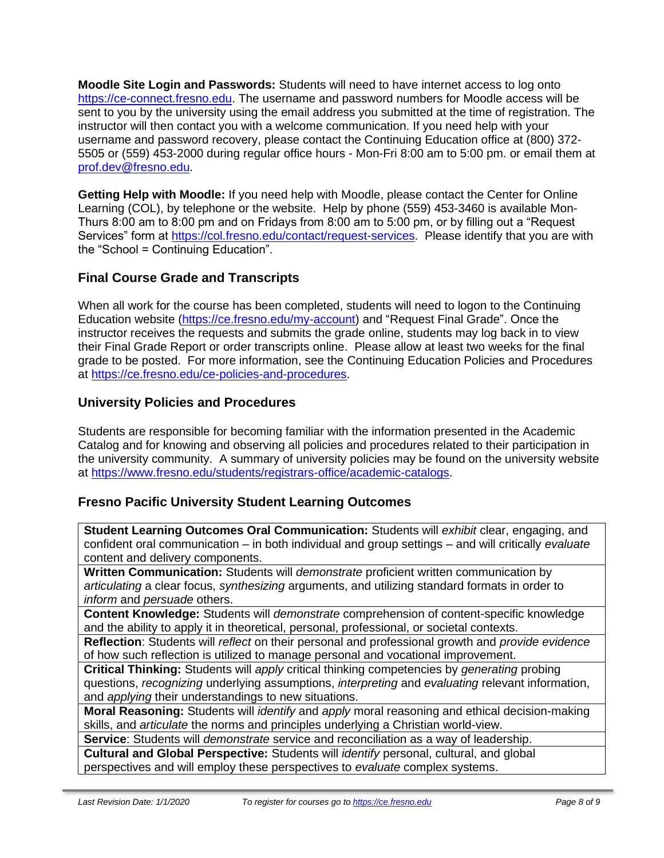**Moodle Site Login and Passwords:** Students will need to have internet access to log onto [https://ce-connect.fresno.edu.](https://ce-connect.fresno.edu/) The username and password numbers for Moodle access will be sent to you by the university using the email address you submitted at the time of registration. The instructor will then contact you with a welcome communication. If you need help with your username and password recovery, please contact the Continuing Education office at (800) 372- 5505 or (559) 453-2000 during regular office hours - Mon-Fri 8:00 am to 5:00 pm. or email them at [prof.dev@fresno.edu.](mailto:prof.dev@fresno.edu)

**Getting Help with Moodle:** If you need help with Moodle, please contact the Center for Online Learning (COL), by telephone or the website. Help by phone (559) 453-3460 is available Mon-Thurs 8:00 am to 8:00 pm and on Fridays from 8:00 am to 5:00 pm, or by filling out a "Request Services" form at [https://col.fresno.edu/contact/request-services.](https://col.fresno.edu/contact/request-services) Please identify that you are with the "School = Continuing Education".

## **Final Course Grade and Transcripts**

When all work for the course has been completed, students will need to logon to the Continuing Education website [\(https://ce.fresno.edu/my-account\)](https://ce.fresno.edu/my-account) and "Request Final Grade". Once the instructor receives the requests and submits the grade online, students may log back in to view their Final Grade Report or order transcripts online. Please allow at least two weeks for the final grade to be posted. For more information, see the Continuing Education Policies and Procedures at [https://ce.fresno.edu/ce-policies-and-procedures.](https://ce.fresno.edu/ce-policies-and-procedures)

## **University Policies and Procedures**

Students are responsible for becoming familiar with the information presented in the Academic Catalog and for knowing and observing all policies and procedures related to their participation in the university community. A summary of university policies may be found on the university website at [https://www.fresno.edu/students/registrars-office/academic-catalogs.](https://www.fresno.edu/students/registrars-office/academic-catalogs)

## **Fresno Pacific University Student Learning Outcomes**

**Student Learning Outcomes Oral Communication:** Students will *exhibit* clear, engaging, and confident oral communication – in both individual and group settings – and will critically *evaluate*  content and delivery components.

**Written Communication:** Students will *demonstrate* proficient written communication by *articulating* a clear focus, *synthesizing* arguments, and utilizing standard formats in order to *inform* and *persuade* others.

**Content Knowledge:** Students will *demonstrate* comprehension of content-specific knowledge and the ability to apply it in theoretical, personal, professional, or societal contexts.

**Reflection**: Students will *reflect* on their personal and professional growth and *provide evidence*  of how such reflection is utilized to manage personal and vocational improvement.

**Critical Thinking:** Students will *apply* critical thinking competencies by *generating* probing questions, *recognizing* underlying assumptions, *interpreting* and *evaluating* relevant information, and *applying* their understandings to new situations.

**Moral Reasoning:** Students will *identify* and *apply* moral reasoning and ethical decision-making skills, and *articulate* the norms and principles underlying a Christian world-view.

**Service**: Students will *demonstrate* service and reconciliation as a way of leadership.

**Cultural and Global Perspective:** Students will *identify* personal, cultural, and global perspectives and will employ these perspectives to *evaluate* complex systems.